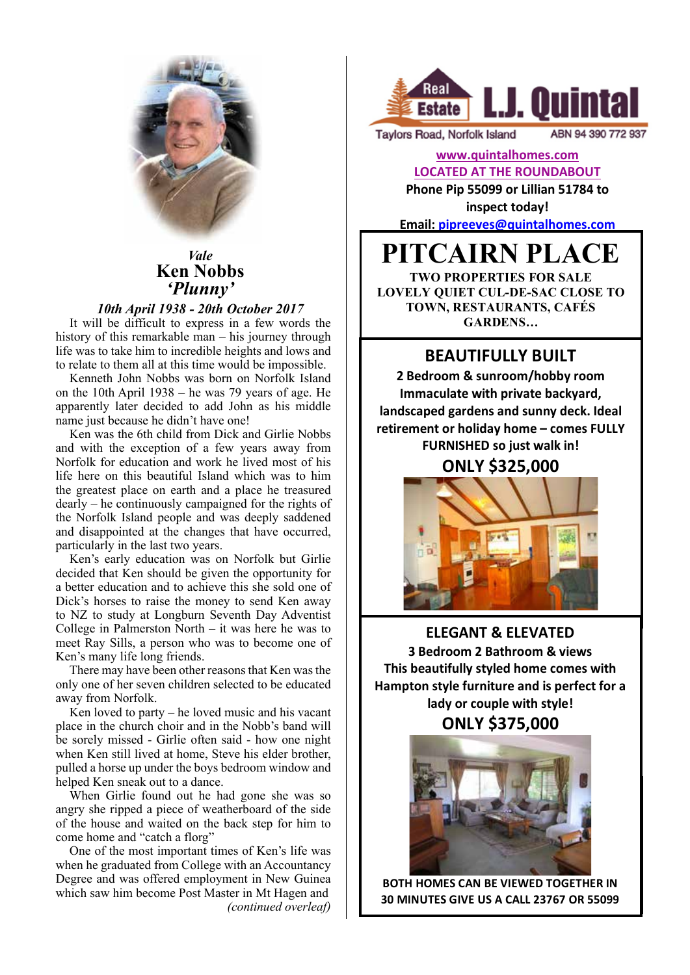

#### *Vale* **Ken Nobbs** 'Plunny'  $Vale$  $\mathbf{m}$  ive

## *10th April 1938 - 20th October 2017*

It will be difficult to express in a few words the history of this remarkable man – his journey through life was to take him to incredible heights and lows and to relate to them all at this time would be impossible.

Kenneth John Nobbs was born on Norfolk Island on the 10th April 1938 – he was 79 years of age. He apparently later decided to add John as his middle name just because he didn't have one!

Ken was the 6th child from Dick and Girlie Nobbs and with the exception of a few years away from Norfolk for education and work he lived most of his life here on this beautiful Island which was to him the greatest place on earth and a place he treasured dearly – he continuously campaigned for the rights of the Norfolk Island people and was deeply saddened and disappointed at the changes that have occurred, particularly in the last two years.

Ken's early education was on Norfolk but Girlie decided that Ken should be given the opportunity for a better education and to achieve this she sold one of Dick's horses to raise the money to send Ken away to NZ to study at Longburn Seventh Day Adventist College in Palmerston North – it was here he was to meet Ray Sills, a person who was to become one of Ken's many life long friends.

There may have been other reasons that Ken was the only one of her seven children selected to be educated away from Norfolk.

Ken loved to party – he loved music and his vacant place in the church choir and in the Nobb's band will be sorely missed - Girlie often said - how one night when Ken still lived at home, Steve his elder brother, pulled a horse up under the boys bedroom window and helped Ken sneak out to a dance.

When Girlie found out he had gone she was so angry she ripped a piece of weatherboard of the side of the house and waited on the back step for him to come home and "catch a florg"

One of the most important times of Ken's life was when he graduated from College with an Accountancy Degree and was offered employment in New Guinea which saw him become Post Master in Mt Hagen and *(continued overleaf)*



**Taylors Road, Norfolk Island** 

ABN 94 390 772 937

## **www.quintalhomes.com LOCATED AT THE ROUNDABOUT**

**Phone Pip 55099 or Lillian 51784 to inspect today!** 

**Email: pipreeves@quintalhomes.com**

# **PITCAIRN PLACE**

**TWO PROPERTIES FOR SALE LOVELY QUIET CUL-DE-SAC CLOSE TO TOWN, RESTAURANTS, CAFÉS GARDENS…**

# **BEAUTIFULLY BUILT**

**2 Bedroom & sunroom/hobby room Immaculate with private backyard,** landscaped gardens and sunny deck. Ideal **retirement or holiday home – comes FULLY FURNISHED** so just walk in!

**ONLY \$325,000**



**ELEGANT & ELEVATED 3 Bedroom 2 Bathroom & views This beautifully styled home comes with** Hampton style furniture and is perfect for a lady or couple with style!

**ONLY \$375,000**



MINITENDE CAN DE VIEWED TOGETHEMIN<br>MINUTES CIVE US A CALL 22767 OD EE000 CALL 55099 TO SET A TIME **30 MINUTES GIVE US A CALL 23767 OR 55099BOTH HOMES CAN BE VIEWED TOGETHER IN**